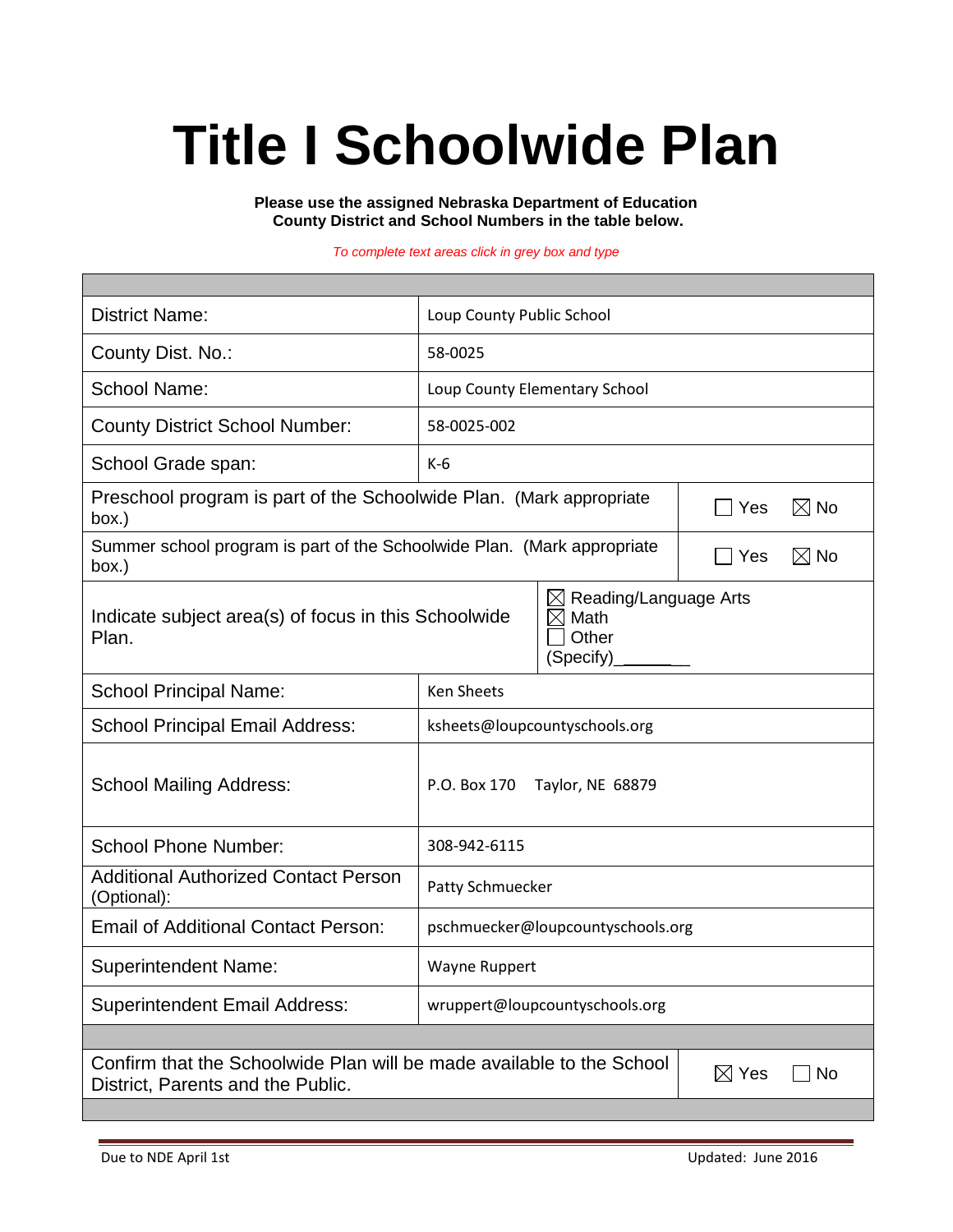# **Title I Schoolwide Plan**

**Please use the assigned Nebraska Department of Education County District and School Numbers in the table below.**

*To complete text areas click in grey box and type*

| <b>District Name:</b>                                                                                                               | Loup County Public School                                                         |  |  |  |  |
|-------------------------------------------------------------------------------------------------------------------------------------|-----------------------------------------------------------------------------------|--|--|--|--|
| County Dist. No.:                                                                                                                   | 58-0025                                                                           |  |  |  |  |
| <b>School Name:</b>                                                                                                                 | Loup County Elementary School                                                     |  |  |  |  |
| <b>County District School Number:</b>                                                                                               | 58-0025-002                                                                       |  |  |  |  |
| School Grade span:                                                                                                                  | $K-6$                                                                             |  |  |  |  |
| Preschool program is part of the Schoolwide Plan. (Mark appropriate<br>$\boxtimes$ No<br>Yes<br>box.)                               |                                                                                   |  |  |  |  |
| Summer school program is part of the Schoolwide Plan. (Mark appropriate<br>box.)                                                    | $\boxtimes$ No<br>Yes                                                             |  |  |  |  |
| Indicate subject area(s) of focus in this Schoolwide<br>Plan.                                                                       | Reading/Language Arts<br>$\boxtimes$<br>Math<br>$\boxtimes$<br>Other<br>(Specify) |  |  |  |  |
| <b>School Principal Name:</b>                                                                                                       | <b>Ken Sheets</b>                                                                 |  |  |  |  |
| <b>School Principal Email Address:</b>                                                                                              | ksheets@loupcountyschools.org                                                     |  |  |  |  |
| <b>School Mailing Address:</b>                                                                                                      | P.O. Box 170<br>Taylor, NE 68879                                                  |  |  |  |  |
| <b>School Phone Number:</b>                                                                                                         | 308-942-6115                                                                      |  |  |  |  |
| <b>Additional Authorized Contact Person</b><br>(Optional):                                                                          | Patty Schmuecker                                                                  |  |  |  |  |
| <b>Email of Additional Contact Person:</b>                                                                                          | pschmuecker@loupcountyschools.org                                                 |  |  |  |  |
| <b>Superintendent Name:</b>                                                                                                         | Wayne Ruppert                                                                     |  |  |  |  |
| <b>Superintendent Email Address:</b>                                                                                                | wruppert@loupcountyschools.org                                                    |  |  |  |  |
|                                                                                                                                     |                                                                                   |  |  |  |  |
| Confirm that the Schoolwide Plan will be made available to the School<br>$\boxtimes$ Yes<br>No<br>District, Parents and the Public. |                                                                                   |  |  |  |  |
|                                                                                                                                     |                                                                                   |  |  |  |  |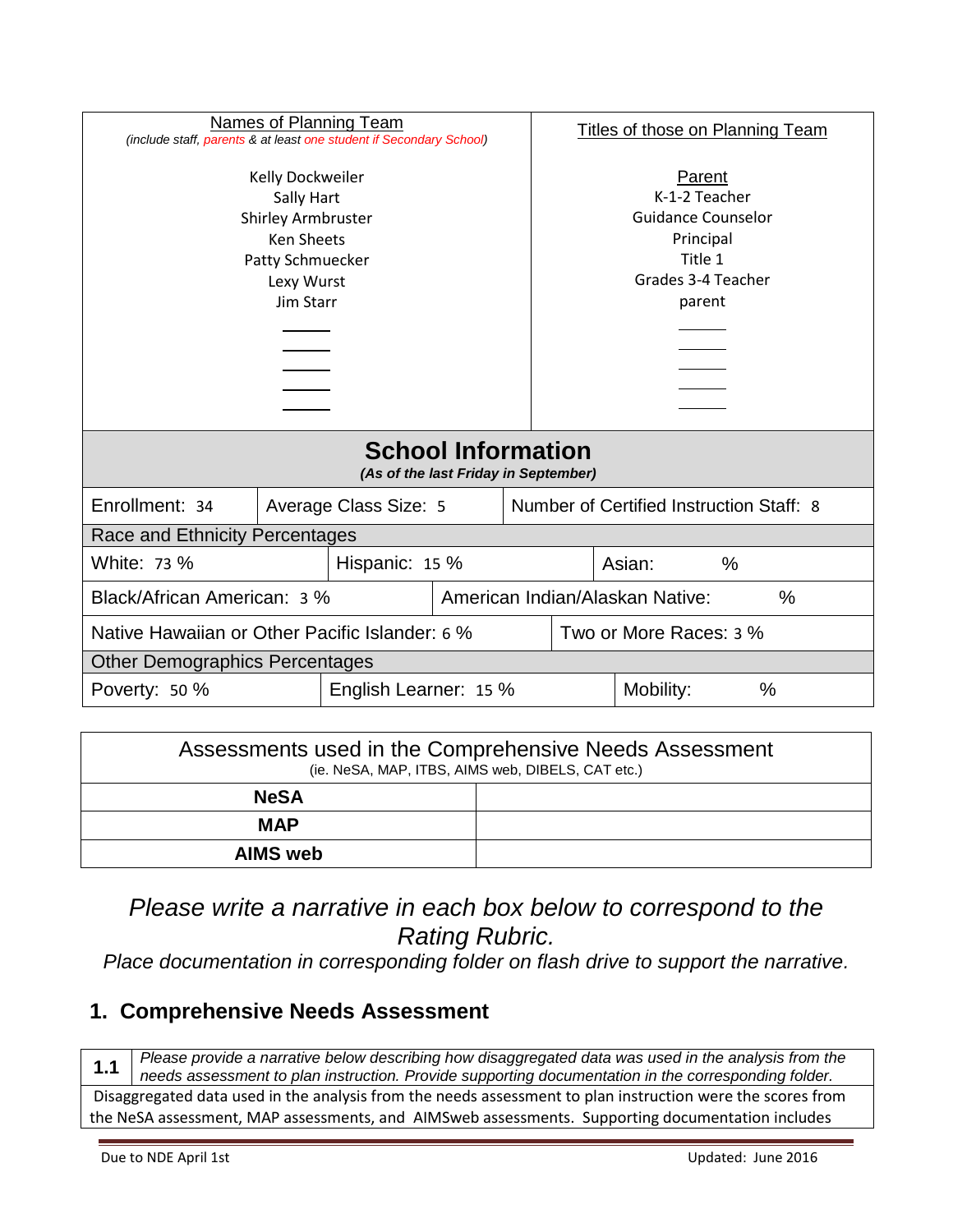| <b>Names of Planning Team</b><br>(include staff, parents & at least one student if Secondary School)                     |  |                       |                                      | <b>Titles of those on Planning Team</b>                                                                      |                                          |  |
|--------------------------------------------------------------------------------------------------------------------------|--|-----------------------|--------------------------------------|--------------------------------------------------------------------------------------------------------------|------------------------------------------|--|
| Kelly Dockweiler<br>Sally Hart<br><b>Shirley Armbruster</b><br>Ken Sheets<br>Patty Schmuecker<br>Lexy Wurst<br>Jim Starr |  |                       |                                      | Parent<br>K-1-2 Teacher<br><b>Guidance Counselor</b><br>Principal<br>Title 1<br>Grades 3-4 Teacher<br>parent |                                          |  |
| <b>School Information</b><br>(As of the last Friday in September)                                                        |  |                       |                                      |                                                                                                              |                                          |  |
| Enrollment: 34                                                                                                           |  | Average Class Size: 5 |                                      |                                                                                                              | Number of Certified Instruction Staff: 8 |  |
| Race and Ethnicity Percentages                                                                                           |  |                       |                                      |                                                                                                              |                                          |  |
| White: 73 %<br>Hispanic: 15 %                                                                                            |  |                       |                                      |                                                                                                              | Asian:<br>$\%$                           |  |
| Black/African American: 3 %                                                                                              |  |                       | American Indian/Alaskan Native:<br>% |                                                                                                              |                                          |  |
| Native Hawaiian or Other Pacific Islander: 6 %                                                                           |  |                       | Two or More Races: 3 %               |                                                                                                              |                                          |  |
| <b>Other Demographics Percentages</b>                                                                                    |  |                       |                                      |                                                                                                              |                                          |  |
| English Learner: 15 %<br>Poverty: 50 %                                                                                   |  |                       |                                      | $\%$<br>Mobility:                                                                                            |                                          |  |

| Assessments used in the Comprehensive Needs Assessment<br>(ie. NeSA, MAP, ITBS, AIMS web, DIBELS, CAT etc.) |  |  |  |  |
|-------------------------------------------------------------------------------------------------------------|--|--|--|--|
| <b>NeSA</b>                                                                                                 |  |  |  |  |
| <b>MAP</b>                                                                                                  |  |  |  |  |
| <b>AIMS</b> web                                                                                             |  |  |  |  |

*Please write a narrative in each box below to correspond to the Rating Rubric.* 

*Place documentation in corresponding folder on flash drive to support the narrative.*

#### **1. Comprehensive Needs Assessment**

**1.1** *Please provide a narrative below describing how disaggregated data was used in the analysis from the needs assessment to plan instruction. Provide supporting documentation in the corresponding folder.* Disaggregated data used in the analysis from the needs assessment to plan instruction were the scores from the NeSA assessment, MAP assessments, and AIMSweb assessments. Supporting documentation includes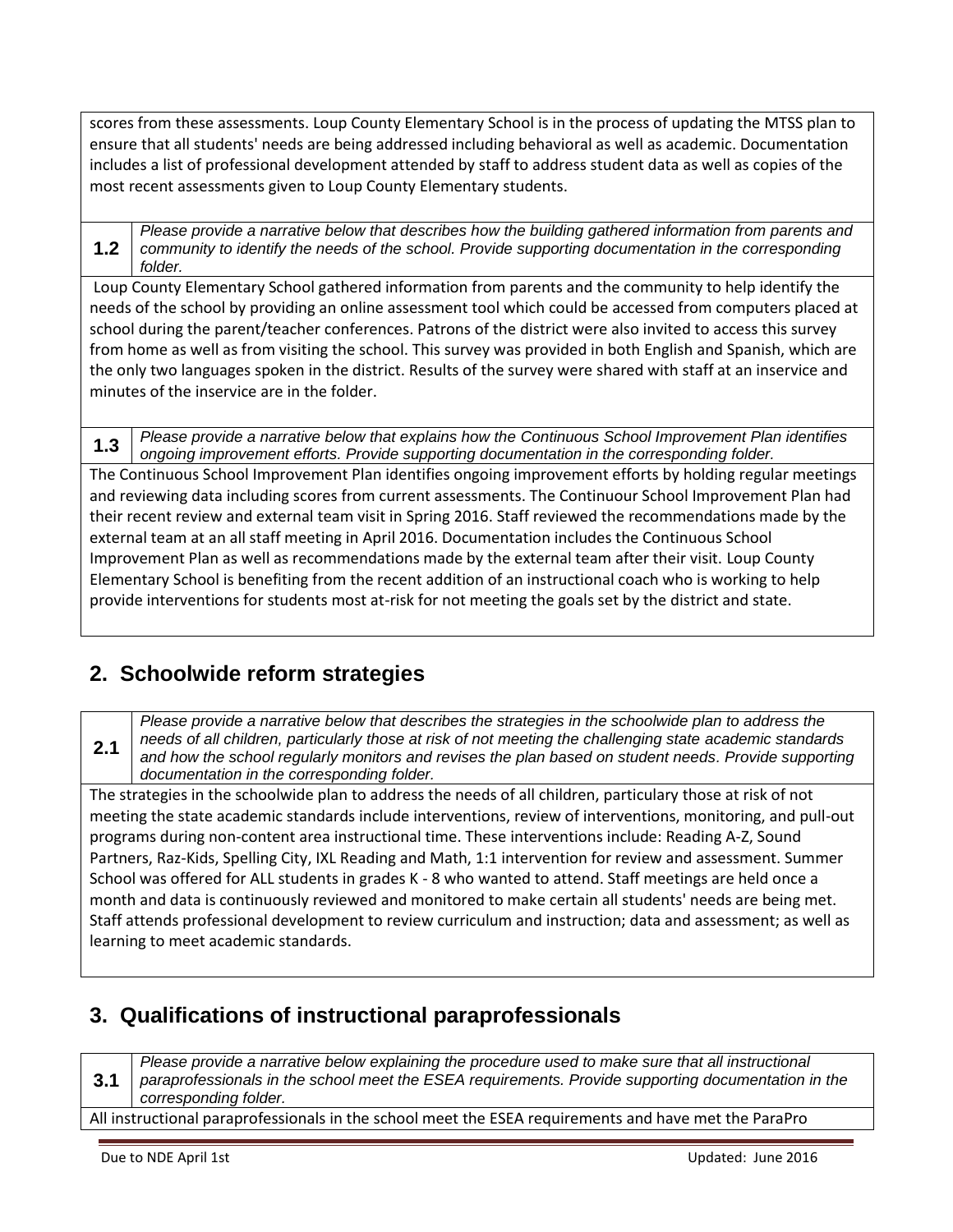scores from these assessments. Loup County Elementary School is in the process of updating the MTSS plan to ensure that all students' needs are being addressed including behavioral as well as academic. Documentation includes a list of professional development attended by staff to address student data as well as copies of the most recent assessments given to Loup County Elementary students.

**1.2** *Please provide a narrative below that describes how the building gathered information from parents and community to identify the needs of the school. Provide supporting documentation in the corresponding folder.*

Loup County Elementary School gathered information from parents and the community to help identify the needs of the school by providing an online assessment tool which could be accessed from computers placed at school during the parent/teacher conferences. Patrons of the district were also invited to access this survey from home as well as from visiting the school. This survey was provided in both English and Spanish, which are the only two languages spoken in the district. Results of the survey were shared with staff at an inservice and minutes of the inservice are in the folder.

**1.3** *Please provide a narrative below that explains how the Continuous School Improvement Plan identifies ongoing improvement efforts. Provide supporting documentation in the corresponding folder.* The Continuous School Improvement Plan identifies ongoing improvement efforts by holding regular meetings and reviewing data including scores from current assessments. The Continuour School Improvement Plan had their recent review and external team visit in Spring 2016. Staff reviewed the recommendations made by the external team at an all staff meeting in April 2016. Documentation includes the Continuous School Improvement Plan as well as recommendations made by the external team after their visit. Loup County Elementary School is benefiting from the recent addition of an instructional coach who is working to help provide interventions for students most at-risk for not meeting the goals set by the district and state.

## **2. Schoolwide reform strategies**

*Please provide a narrative below that describes the strategies in the schoolwide plan to address the needs of all children, particularly those at risk of not meeting the challenging state academic standards and how the school regularly monitors and revises the plan based on student needs. Provide supporting documentation in the corresponding folder.*

The strategies in the schoolwide plan to address the needs of all children, particulary those at risk of not meeting the state academic standards include interventions, review of interventions, monitoring, and pull-out programs during non-content area instructional time. These interventions include: Reading A-Z, Sound Partners, Raz-Kids, Spelling City, IXL Reading and Math, 1:1 intervention for review and assessment. Summer School was offered for ALL students in grades K - 8 who wanted to attend. Staff meetings are held once a month and data is continuously reviewed and monitored to make certain all students' needs are being met. Staff attends professional development to review curriculum and instruction; data and assessment; as well as learning to meet academic standards.

## **3. Qualifications of instructional paraprofessionals**

**3.1** *Please provide a narrative below explaining the procedure used to make sure that all instructional paraprofessionals in the school meet the ESEA requirements. Provide supporting documentation in the corresponding folder.* All instructional paraprofessionals in the school meet the ESEA requirements and have met the ParaPro

**2.1**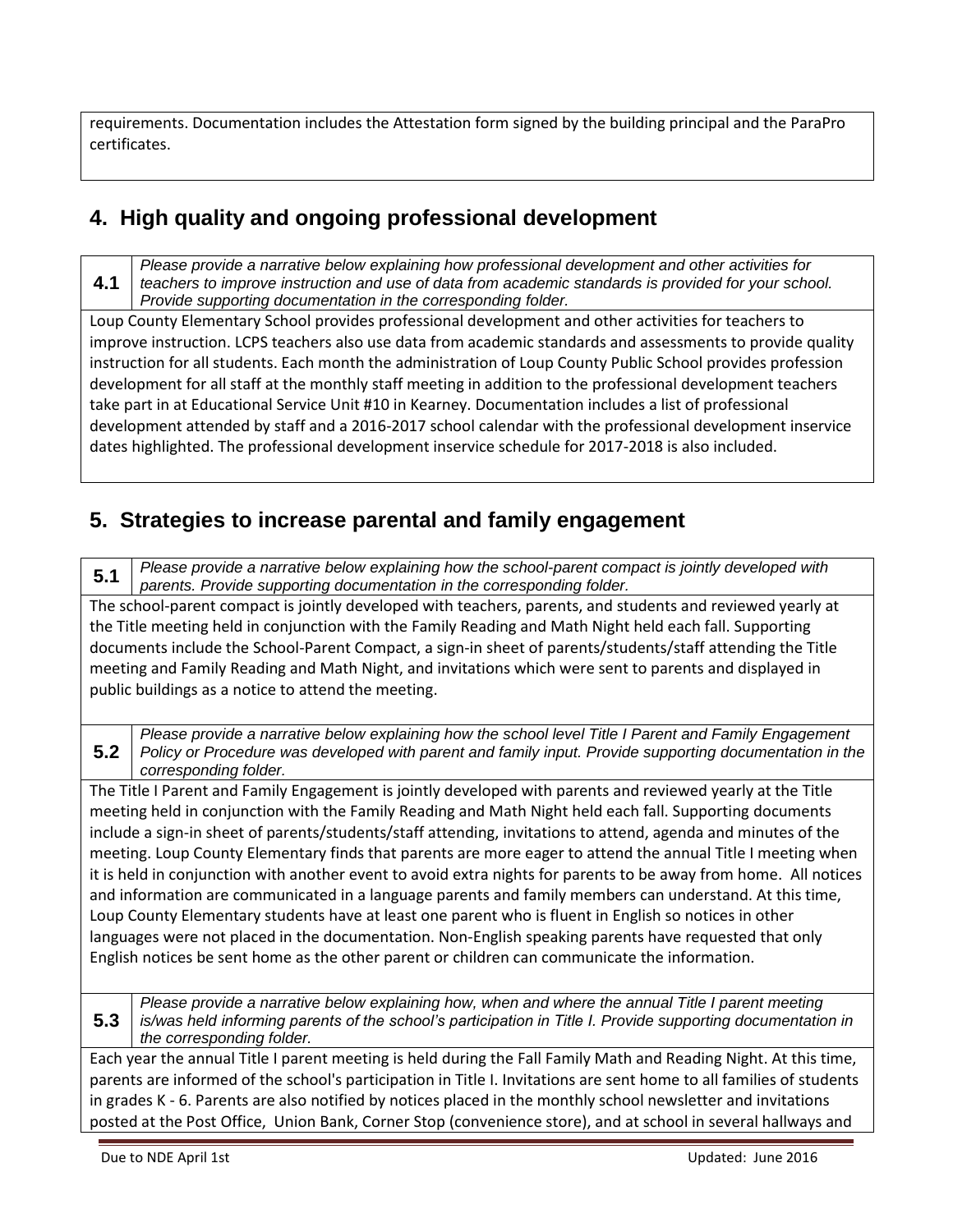requirements. Documentation includes the Attestation form signed by the building principal and the ParaPro certificates.

# **4. High quality and ongoing professional development**

**4.1** *Please provide a narrative below explaining how professional development and other activities for teachers to improve instruction and use of data from academic standards is provided for your school. Provide supporting documentation in the corresponding folder.*

Loup County Elementary School provides professional development and other activities for teachers to improve instruction. LCPS teachers also use data from academic standards and assessments to provide quality instruction for all students. Each month the administration of Loup County Public School provides profession development for all staff at the monthly staff meeting in addition to the professional development teachers take part in at Educational Service Unit #10 in Kearney. Documentation includes a list of professional development attended by staff and a 2016-2017 school calendar with the professional development inservice dates highlighted. The professional development inservice schedule for 2017-2018 is also included.

### **5. Strategies to increase parental and family engagement**

**5.1** *Please provide a narrative below explaining how the school-parent compact is jointly developed with parents. Provide supporting documentation in the corresponding folder.*

The school-parent compact is jointly developed with teachers, parents, and students and reviewed yearly at the Title meeting held in conjunction with the Family Reading and Math Night held each fall. Supporting documents include the School-Parent Compact, a sign-in sheet of parents/students/staff attending the Title meeting and Family Reading and Math Night, and invitations which were sent to parents and displayed in public buildings as a notice to attend the meeting.

**5.2** *Please provide a narrative below explaining how the school level Title I Parent and Family Engagement Policy or Procedure was developed with parent and family input. Provide supporting documentation in the corresponding folder.*

The Title I Parent and Family Engagement is jointly developed with parents and reviewed yearly at the Title meeting held in conjunction with the Family Reading and Math Night held each fall. Supporting documents include a sign-in sheet of parents/students/staff attending, invitations to attend, agenda and minutes of the meeting. Loup County Elementary finds that parents are more eager to attend the annual Title I meeting when it is held in conjunction with another event to avoid extra nights for parents to be away from home. All notices and information are communicated in a language parents and family members can understand. At this time, Loup County Elementary students have at least one parent who is fluent in English so notices in other languages were not placed in the documentation. Non-English speaking parents have requested that only English notices be sent home as the other parent or children can communicate the information.

**5.3** *Please provide a narrative below explaining how, when and where the annual Title I parent meeting is/was held informing parents of the school's participation in Title I. Provide supporting documentation in the corresponding folder.*

Each year the annual Title I parent meeting is held during the Fall Family Math and Reading Night. At this time, parents are informed of the school's participation in Title I. Invitations are sent home to all families of students in grades K - 6. Parents are also notified by notices placed in the monthly school newsletter and invitations posted at the Post Office, Union Bank, Corner Stop (convenience store), and at school in several hallways and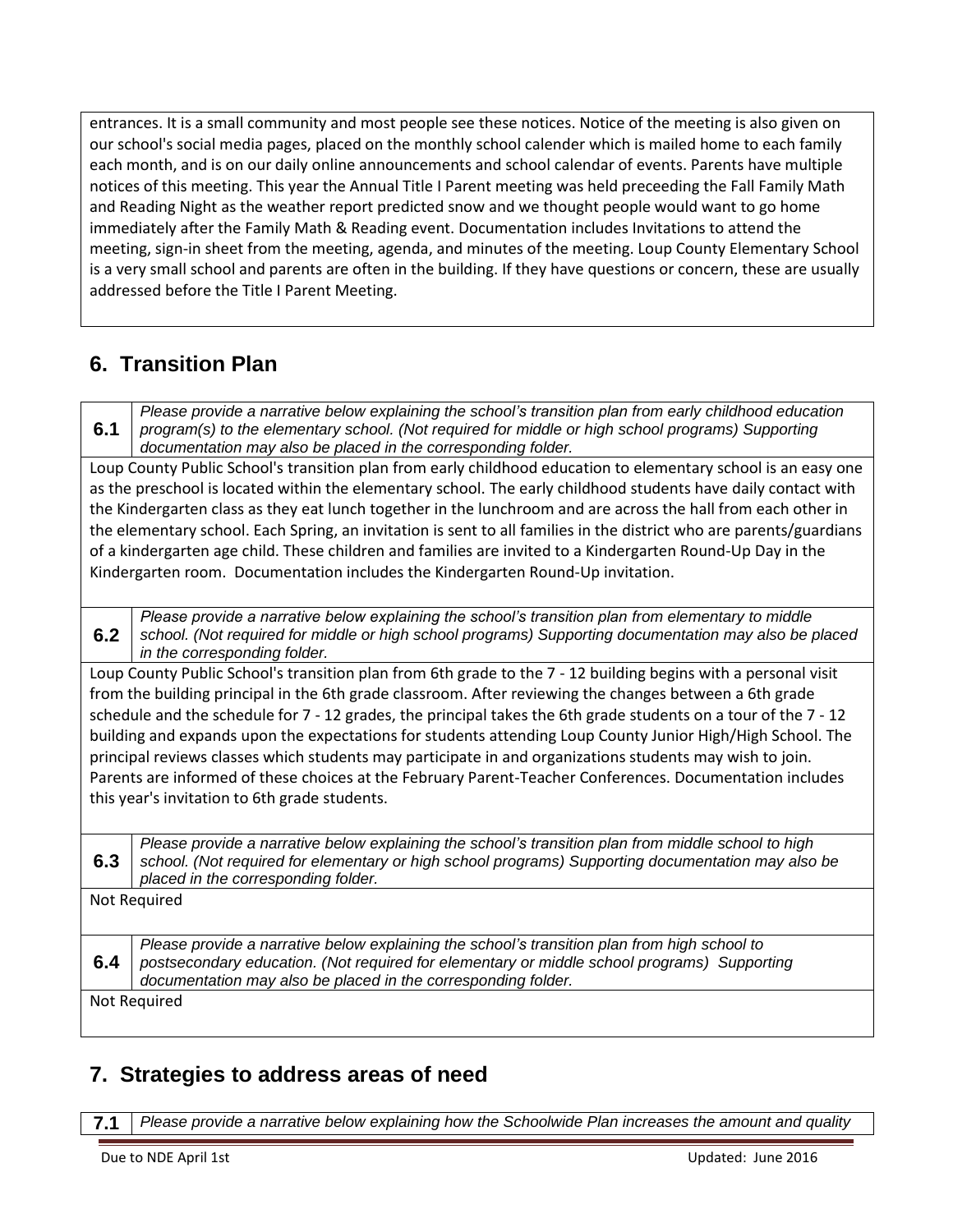entrances. It is a small community and most people see these notices. Notice of the meeting is also given on our school's social media pages, placed on the monthly school calender which is mailed home to each family each month, and is on our daily online announcements and school calendar of events. Parents have multiple notices of this meeting. This year the Annual Title I Parent meeting was held preceeding the Fall Family Math and Reading Night as the weather report predicted snow and we thought people would want to go home immediately after the Family Math & Reading event. Documentation includes Invitations to attend the meeting, sign-in sheet from the meeting, agenda, and minutes of the meeting. Loup County Elementary School is a very small school and parents are often in the building. If they have questions or concern, these are usually addressed before the Title I Parent Meeting.

# **6. Transition Plan**

**6.1** *Please provide a narrative below explaining the school's transition plan from early childhood education program(s) to the elementary school. (Not required for middle or high school programs) Supporting documentation may also be placed in the corresponding folder.*

Loup County Public School's transition plan from early childhood education to elementary school is an easy one as the preschool is located within the elementary school. The early childhood students have daily contact with the Kindergarten class as they eat lunch together in the lunchroom and are across the hall from each other in the elementary school. Each Spring, an invitation is sent to all families in the district who are parents/guardians of a kindergarten age child. These children and families are invited to a Kindergarten Round-Up Day in the Kindergarten room. Documentation includes the Kindergarten Round-Up invitation.

**6.2** *Please provide a narrative below explaining the school's transition plan from elementary to middle school. (Not required for middle or high school programs) Supporting documentation may also be placed in the corresponding folder.*

Loup County Public School's transition plan from 6th grade to the 7 - 12 building begins with a personal visit from the building principal in the 6th grade classroom. After reviewing the changes between a 6th grade schedule and the schedule for 7 - 12 grades, the principal takes the 6th grade students on a tour of the 7 - 12 building and expands upon the expectations for students attending Loup County Junior High/High School. The principal reviews classes which students may participate in and organizations students may wish to join. Parents are informed of these choices at the February Parent-Teacher Conferences. Documentation includes this year's invitation to 6th grade students.

**6.3** *Please provide a narrative below explaining the school's transition plan from middle school to high school. (Not required for elementary or high school programs) Supporting documentation may also be placed in the corresponding folder.* Not Required **6.4** *Please provide a narrative below explaining the school's transition plan from high school to postsecondary education. (Not required for elementary or middle school programs) Supporting documentation may also be placed in the corresponding folder.* Not Required

## **7. Strategies to address areas of need**

**7.1** *Please provide a narrative below explaining how the Schoolwide Plan increases the amount and quality*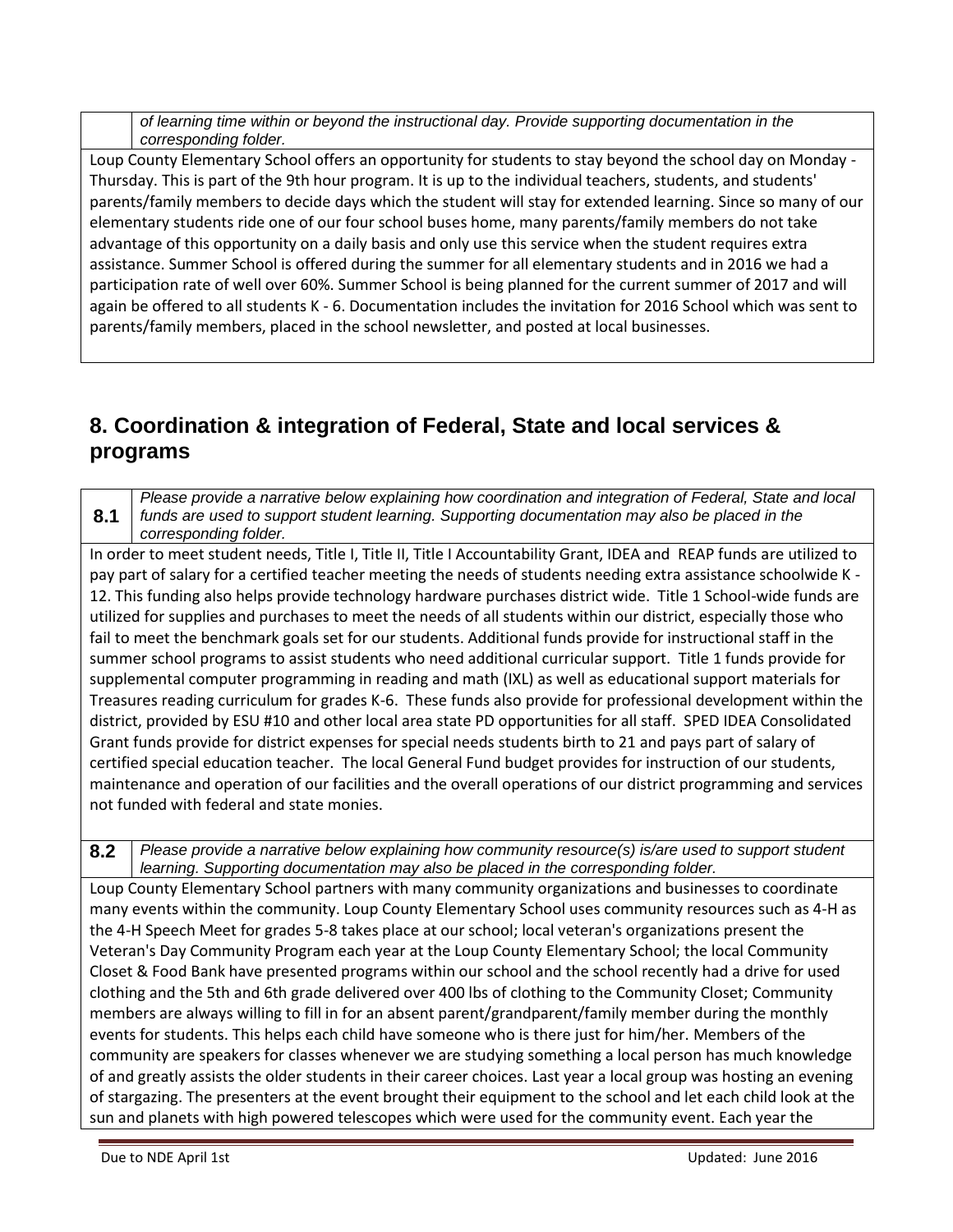| of learning time within or beyond the instructional day. Provide supporting documentation in the |
|--------------------------------------------------------------------------------------------------|
| corresponding folder.                                                                            |

Loup County Elementary School offers an opportunity for students to stay beyond the school day on Monday - Thursday. This is part of the 9th hour program. It is up to the individual teachers, students, and students' parents/family members to decide days which the student will stay for extended learning. Since so many of our elementary students ride one of our four school buses home, many parents/family members do not take advantage of this opportunity on a daily basis and only use this service when the student requires extra assistance. Summer School is offered during the summer for all elementary students and in 2016 we had a participation rate of well over 60%. Summer School is being planned for the current summer of 2017 and will again be offered to all students K - 6. Documentation includes the invitation for 2016 School which was sent to parents/family members, placed in the school newsletter, and posted at local businesses.

### **8. Coordination & integration of Federal, State and local services & programs**

**8.1** *Please provide a narrative below explaining how coordination and integration of Federal, State and local funds are used to support student learning. Supporting documentation may also be placed in the corresponding folder.*

In order to meet student needs, Title I, Title II, Title I Accountability Grant, IDEA and REAP funds are utilized to pay part of salary for a certified teacher meeting the needs of students needing extra assistance schoolwide K - 12. This funding also helps provide technology hardware purchases district wide. Title 1 School-wide funds are utilized for supplies and purchases to meet the needs of all students within our district, especially those who fail to meet the benchmark goals set for our students. Additional funds provide for instructional staff in the summer school programs to assist students who need additional curricular support. Title 1 funds provide for supplemental computer programming in reading and math (IXL) as well as educational support materials for Treasures reading curriculum for grades K-6. These funds also provide for professional development within the district, provided by ESU #10 and other local area state PD opportunities for all staff. SPED IDEA Consolidated Grant funds provide for district expenses for special needs students birth to 21 and pays part of salary of certified special education teacher. The local General Fund budget provides for instruction of our students, maintenance and operation of our facilities and the overall operations of our district programming and services not funded with federal and state monies.

**8.2** *Please provide a narrative below explaining how community resource(s) is/are used to support student learning. Supporting documentation may also be placed in the corresponding folder.* Loup County Elementary School partners with many community organizations and businesses to coordinate many events within the community. Loup County Elementary School uses community resources such as 4-H as the 4-H Speech Meet for grades 5-8 takes place at our school; local veteran's organizations present the Veteran's Day Community Program each year at the Loup County Elementary School; the local Community Closet & Food Bank have presented programs within our school and the school recently had a drive for used clothing and the 5th and 6th grade delivered over 400 lbs of clothing to the Community Closet; Community members are always willing to fill in for an absent parent/grandparent/family member during the monthly events for students. This helps each child have someone who is there just for him/her. Members of the community are speakers for classes whenever we are studying something a local person has much knowledge of and greatly assists the older students in their career choices. Last year a local group was hosting an evening of stargazing. The presenters at the event brought their equipment to the school and let each child look at the sun and planets with high powered telescopes which were used for the community event. Each year the